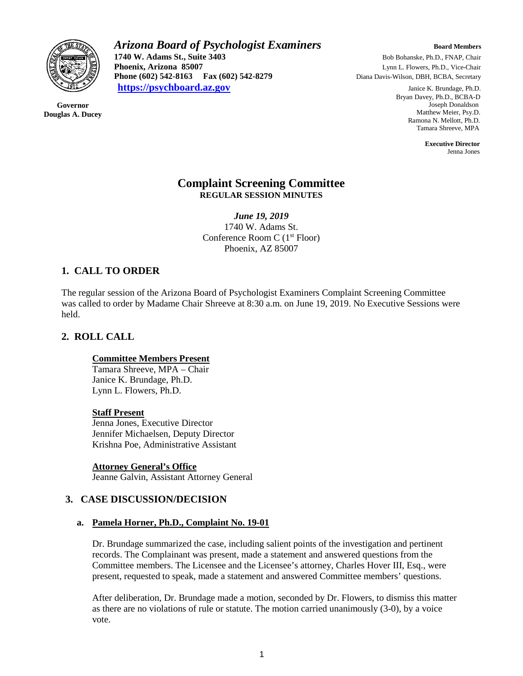

**Governor Douglas A. Ducey** *Arizona Board of Psychologist Examiners Board Members* **1740 W. Adams St., Suite 3403** Bob Bohanske, Ph.D., FNAP, Chair<br> **Phoenix, Arizona 85007** Lynn L. Flowers, Ph.D., Vice-Chair **Phoenix, Arizona 85007** Lynn L. Flowers, Ph.D., Vice-Chair **Phone (602) 542-8163 Fax (602) 542-8279** Diana Davis-Wilson, DBH, BCBA, Secretary **[https://psychboard.az.gov](https://psychboard.az.gov/)** Janice K. Brundage, Ph.D.

 Bryan Davey, Ph.D., BCBA-D Joseph Donaldson Matthew Meier, Psy.D. Ramona N. Mellott, Ph.D. Tamara Shreeve, MPA

 **Executive Director** Jenna Jones

### **Complaint Screening Committee REGULAR SESSION MINUTES**

*June 19, 2019* 1740 W. Adams St. Conference Room C (1st Floor) Phoenix, AZ 85007

# **1. CALL TO ORDER**

The regular session of the Arizona Board of Psychologist Examiners Complaint Screening Committee was called to order by Madame Chair Shreeve at 8:30 a.m. on June 19, 2019. No Executive Sessions were held.

# **2. ROLL CALL**

### **Committee Members Present**

Tamara Shreeve, MPA – Chair Janice K. Brundage, Ph.D. Lynn L. Flowers, Ph.D.

#### **Staff Present**

Jenna Jones, Executive Director Jennifer Michaelsen, Deputy Director Krishna Poe, Administrative Assistant

**Attorney General's Office**

Jeanne Galvin, Assistant Attorney General

## **3. CASE DISCUSSION/DECISION**

### **a. Pamela Horner, Ph.D., Complaint No. 19-01**

Dr. Brundage summarized the case, including salient points of the investigation and pertinent records. The Complainant was present, made a statement and answered questions from the Committee members. The Licensee and the Licensee's attorney, Charles Hover III, Esq., were present, requested to speak, made a statement and answered Committee members' questions.

After deliberation, Dr. Brundage made a motion, seconded by Dr. Flowers, to dismiss this matter as there are no violations of rule or statute. The motion carried unanimously (3-0), by a voice vote.